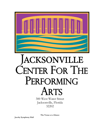

# ACKSONVILLE ENTER FOR THE PERFORMING **IRTS**

300 West Water Street Jacksonville, Florida 32202

**The Venue at a Glance**

**Jacoby Symphony Hall**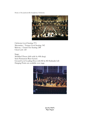Home of the Jacksonville Symphony Orchestra



Orchestra Level Seating: 974 Mezzanine / Terrace Level Seating: 342 Balcony / Grand Tier Seating: 288 Choir Loft: 120

Stage:

Modified Thrust (66ft wide by 40ft deep) Semi-Permanent Riser System Ground Level Loading Door with 8ft by 8ft Hydraulic Lift Hanging Points are available over stage.



**Jacoby Hall's Pipe Organ**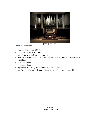

## **Organ Specifications**

- Casavant Fr'eres Opus 553 Organ
- 4 Manual (Keyboard) Console
- Manufactured in St. Hyacinthe, Quebec
- Built for its original home at the First Baptist Church of Syracuse, New York in 1914
- $\bullet$  6,215 Pipes
- 97 Ranks of Pipes
- 80 Speaking Stops
- Pipes range in speaking length from 3/8 inch to 32 feet
- Installed in the Jacoby Hall June 2000, dedicated to the City of Jacksonville

**Jacoby Hall Orchestra Level Seating**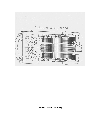

**Jacoby Hall Mezzanine / Terrace Level Seating**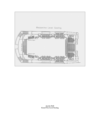

**Jacoby Hall Grand Tier Level Seating**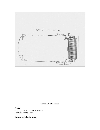

## **Technical Information**

**Power:** 2-100A/3 Phase USL and R, 400A w/ Distro at Loading Dock

**General Lighting Inventory**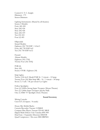Control: E. T. C. Insight Dimmers: 175 Sensor Dimmers

Lighting Instruments: (Shared by all theatres) Source 4 Models: Forty (40) 450 Sixty (60) 436 Sixty (60) 426 Sixty (60) 419 Ten (10) 410 Four (4) 405

Ellipsoidal: Strand Models: Eighteen (18) 750 EHF / 4.5x6.5 Forty (40) 750 EHF 6x9 Ten (10) 750 EHF 6x12

Fresnel: Altman Models: Eighteen (18) 175Q Twenty Four (24) 165Q

PAR 64:  $Sixty(60)$ Source 4 PAR : Eighteen (18)

Strip Lights: Twelve  $(12)$ L & E Model PAR 56 / 3 circuit – 12 lamp Twenty Four (24) Mini Strip  $MR - 16 / 3$  circuit – 30 lamp Seven (7) 3 cell / 1K per circuit Cyc Lights

Follow Spotlights: Four (4) 2,000w Strong Super Troupers (Moran Theater) Two (2) 1,600w Super Troupers (Jacoby Hall) One (1) HMI 757 Spotlight (Terry Theater)

## **Sound Inventory**

Mixing Console: Crest GT (32 inputs / 8 sends)

House Mix Mobile Racks: Cassette Recorder: Tascam 112MKII Compact Disc Player: Tascam CD-401 MKII Digital Multi-Effects Unit: Yamaha SPX-900 Dual Gate / Expander: Drawmer DS201B Quad Compressor / De-esser: BSS DRP404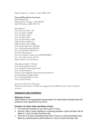Dual Compressor / Limiter / Gate: DBX 166A

## **General Microphone Inventory**

(Shared)Monitors: Eight (8) Floor Wedges / JBL MR 802 Side Fill Monitors: JBL SR 4725A

Microphones: Four (4) Crown PCC-166 Two (2) AKG C535EB Two (2) AKG C5900 Two (20 AKG 3000 Four (4) Shure Beta 57MR Eight (8) Shure SM58-LC Eight (8) Shure Beta 58MR Four (4) Beyerdynamic M300TG Two (2) Beyerdynamic M201TG Two (2) Sennheiser MD 421-U Wireless Microphones: Two (2) Lavaliere Country man MEMWS05BSA Two (2) Audio Tecnica AT-831 Direct Inputs: Four (4) Passive

Microphone Stands / Booms: Four (4) Large Boom Stands Four (4) Short Telescoping Stands Four (4) Short Booms Twenty (20) Collapsible Tripod Stands with Booms Six (6) Standard Upright Stands Two (2) Standard Boom Arms Four (4) Desk Stands

Intercom: Clear-Com (All Areas) Hearing Assist Systems: All halls are equipped with InfaRed Systems with 110 headset receivers.

## *Stagehand Labor Guidelines*

## **Minimum Crews\***

ASM Global or the designated representative of ASM Global will determine the minimum crew required for any event.

## **Duration of Labor Calls and Rates of Pay\***

- The minimum duration of any work call is 4 hours.
- All work calls or hours starting or continuing between 12am and 8am will be billed at 1 and 1/2 times the base rate.
- All hours of a work call lasting more than 8 hours in a day (excluding hours billed as a performance) will be billed at 1 and 1/2 times the base rate.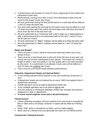- A performance call consists of 3 and 1/2 hours, beginning I/2 hour before the advertised curtain time.
- Performances running more than 3 hours from advertised curtain time will revert to the proper hourly rate of pay.
- All work performed during the third performance in a work day will be billed at 1 and 1/2 times the base rate.
- Any work calls starting the next day for the same event may be billed at 1 and 1/2 times the base rate if the call for the next days work call starts less than 8 hours from the end of the last work call.
- All work performed as a "Continuity Call" (call to clean up or adjust before or after a performance that is not associated with an IN) over 1 and 1/2 hours will be paid as 4 hours.
- All work performed on "Major" holidays will be billed at 2 times the base rate.\*
- All work performed on "Minor" holidays will be billed at 1 and 1/2 times the base rate.\*

# **Meals and Breaks\***

- There must be a 10-min. break at some time (mid-way) within any 5 hour period of work.
- There must be a meal break prior to the end of the 5th hour of any work call and by the end of each subsequent 5-hour period. This break can consist in length of either 1 hour (not paid) or 1/2 hour (paid) with a hot meal provided by the event. If a meal break is not allowed, hourly rates will be billed at 1 and 1/2 times the existing rate of pay.
- There must be a 90 minute break between performances.

# **Stewards, Department Heads and Special Rates\***

- A non-working steward will be placed on any call numbering 15 persons or over.
- If department heads are not required by an event, SMG may appoint them if determined necessary.
- Forklift operators are to be paid at department head rate.
- Truss spotlight operators are to be paid at rigging rate.
- Only the steward or Production Manager (ASM) may reassign any persons assigned to a task or department.
- **A house sound engineer must add to all performances**.

# **Filmed Events\***

- Unless otherwise arranged, all hours worked of an event that is recorded by film or video and is not simply "archival" in nature will be billed at a Filming Rate.
- Some "Grip" work is covered by our labor, such as cable paging.
- Work rules for a filmed event are generally the same as non-filmed events.

# **Commercial / Industrial Events\***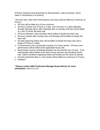(Product oriented event presented as demonstration, sales promotion, direct sales or introduction of a product)

>All work calls, other than Performances and Outs shall be billed at a minimum of 8 hours.

- All Outs will be billed at a 6-hour minimum.
- All hours worked over 8 hours in a day, over 40 hours in a week (Monday through Saturday 5pm), after Saturday 5pm or Sunday until 5pm will be billed at 1 and 1/2 times the base rate.
- All hours between 12am and 8am will be billed at double the base rate.
- All hours worked after Sunday 5pm until Monday will be billed at double the base rate.
- All calls beginning before 6am will be billed at double the base rate until a break of 8 hours is called.
- A Performance (not a rehearsal) consists of a 3 hour period. All hours over performance will be billed at the applicable hourly rate.
- Meal breaks must be scheduled between the 3rd and 5th hour of work. If not, meal penalty will be billed at the base hourly rate plus the prevailing hourly rate. (Other conditions regarding meals and breaks are the same as above).
- All work performed after a 1 hour break will be billed at a minimum of 3 hours.
- Holidays\*

**\* Please contact SMG Production Manager Bryan McCoy for more information.** (904) 633-6192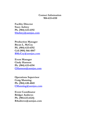# **Contact Information 904-633-6110**

**Facility Director Stacy Aubrey Ph. (904) 633-6192 [SAubrey@asmjax.com](mailto:SAubrey@asmjax.com)**

**Production Manager Bryan L. McCoy Ph. (904) 633-6192 Cell (904) 566-4847 [BMcCoy@asmjax.com](mailto:BMcCoy@asmjax.com)**

**Event Manager Cindy Harmon Ph. (904) 633-6194 [CHarmon@asmjax.com](mailto:CHarmon@asmjax.com)**

**Operations Supervisor Craig Manning Ph. (904) 630-4045 [CManning@asmjax.com](mailto:CManning@asmjax.com)**

**Event Coordinator Bridget Andrews Ph. (904.633.6124) BAndrews@asmjax.com**